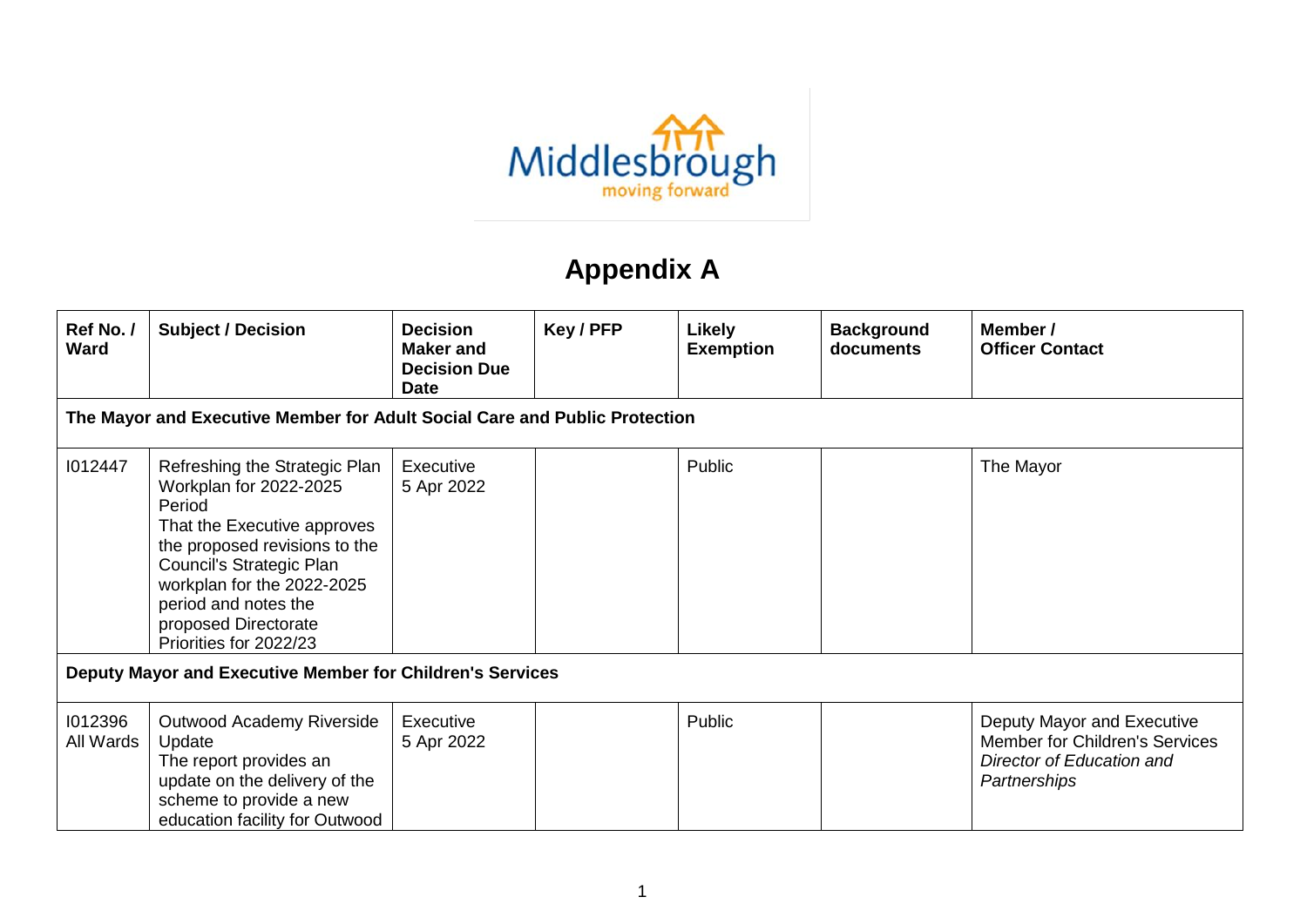

## **Appendix A**

| Ref No./<br><b>Ward</b>                                   | <b>Subject / Decision</b>                                                                                                                                                                                                                                             | <b>Decision</b><br><b>Maker and</b><br><b>Decision Due</b><br><b>Date</b> | Key / PFP | <b>Likely</b><br><b>Exemption</b> | <b>Background</b><br>documents | Member /<br><b>Officer Contact</b>                                                                        |  |  |  |
|-----------------------------------------------------------|-----------------------------------------------------------------------------------------------------------------------------------------------------------------------------------------------------------------------------------------------------------------------|---------------------------------------------------------------------------|-----------|-----------------------------------|--------------------------------|-----------------------------------------------------------------------------------------------------------|--|--|--|
|                                                           | The Mayor and Executive Member for Adult Social Care and Public Protection                                                                                                                                                                                            |                                                                           |           |                                   |                                |                                                                                                           |  |  |  |
| 1012447                                                   | Refreshing the Strategic Plan<br>Workplan for 2022-2025<br>Period<br>That the Executive approves<br>the proposed revisions to the<br>Council's Strategic Plan<br>workplan for the 2022-2025<br>period and notes the<br>proposed Directorate<br>Priorities for 2022/23 | Executive<br>5 Apr 2022                                                   |           | Public                            |                                | The Mayor                                                                                                 |  |  |  |
| Deputy Mayor and Executive Member for Children's Services |                                                                                                                                                                                                                                                                       |                                                                           |           |                                   |                                |                                                                                                           |  |  |  |
| 1012396<br>All Wards                                      | Outwood Academy Riverside<br>Update<br>The report provides an<br>update on the delivery of the<br>scheme to provide a new<br>education facility for Outwood                                                                                                           | Executive<br>5 Apr 2022                                                   |           | Public                            |                                | Deputy Mayor and Executive<br>Member for Children's Services<br>Director of Education and<br>Partnerships |  |  |  |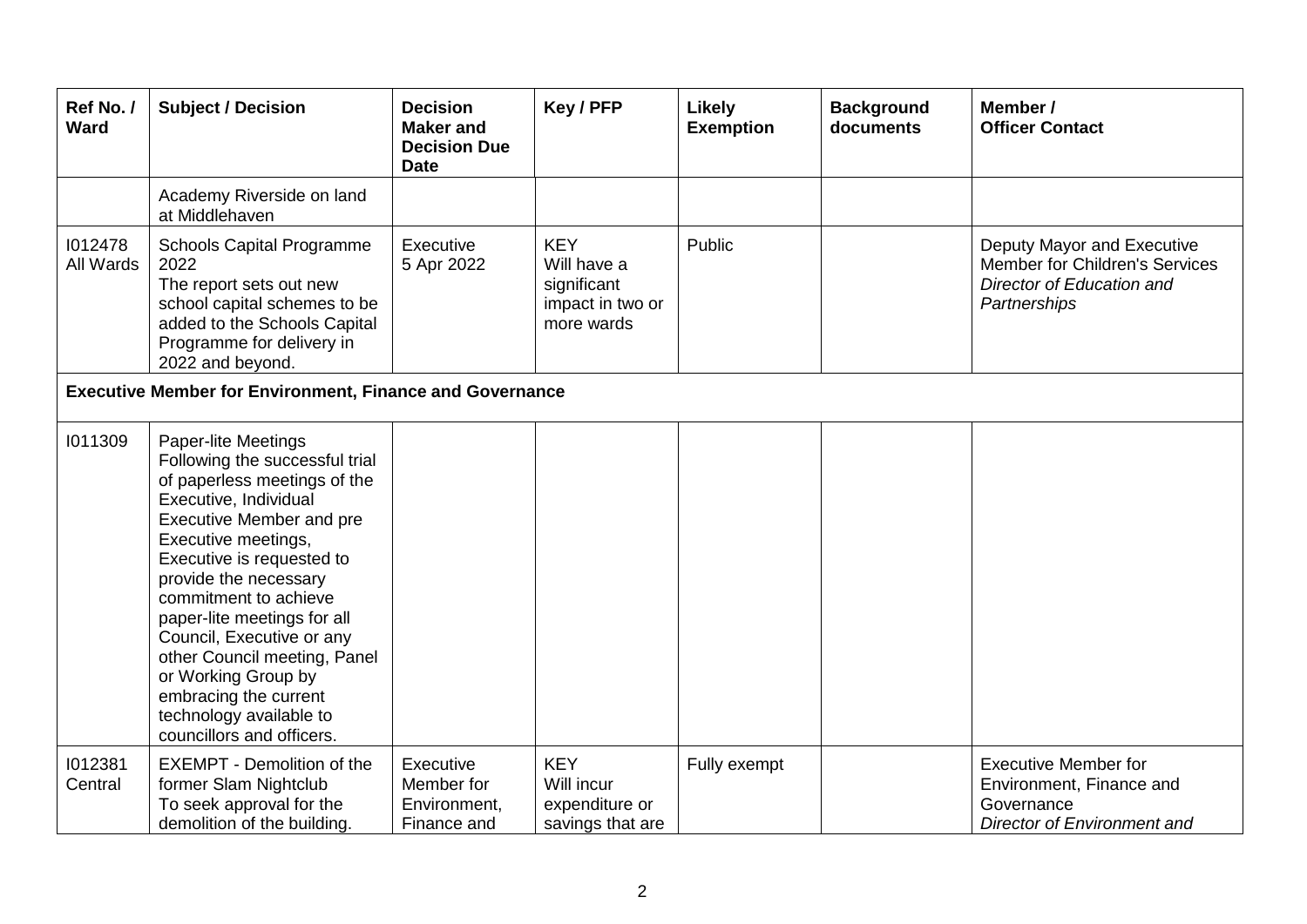| Ref No./<br>Ward                                                | <b>Subject / Decision</b>                                                                                                                                                                                                                                                                                                                                                                                                                                          | <b>Decision</b><br><b>Maker</b> and<br><b>Decision Due</b><br><b>Date</b> | Key / PFP                                                                  | Likely<br><b>Exemption</b> | <b>Background</b><br>documents | Member /<br><b>Officer Contact</b>                                                                        |  |  |
|-----------------------------------------------------------------|--------------------------------------------------------------------------------------------------------------------------------------------------------------------------------------------------------------------------------------------------------------------------------------------------------------------------------------------------------------------------------------------------------------------------------------------------------------------|---------------------------------------------------------------------------|----------------------------------------------------------------------------|----------------------------|--------------------------------|-----------------------------------------------------------------------------------------------------------|--|--|
|                                                                 | Academy Riverside on land<br>at Middlehaven                                                                                                                                                                                                                                                                                                                                                                                                                        |                                                                           |                                                                            |                            |                                |                                                                                                           |  |  |
| 1012478<br>All Wards                                            | <b>Schools Capital Programme</b><br>2022<br>The report sets out new<br>school capital schemes to be<br>added to the Schools Capital<br>Programme for delivery in<br>2022 and beyond.                                                                                                                                                                                                                                                                               | Executive<br>5 Apr 2022                                                   | <b>KEY</b><br>Will have a<br>significant<br>impact in two or<br>more wards | Public                     |                                | Deputy Mayor and Executive<br>Member for Children's Services<br>Director of Education and<br>Partnerships |  |  |
| <b>Executive Member for Environment, Finance and Governance</b> |                                                                                                                                                                                                                                                                                                                                                                                                                                                                    |                                                                           |                                                                            |                            |                                |                                                                                                           |  |  |
| 1011309                                                         | <b>Paper-lite Meetings</b><br>Following the successful trial<br>of paperless meetings of the<br>Executive, Individual<br><b>Executive Member and pre</b><br>Executive meetings,<br>Executive is requested to<br>provide the necessary<br>commitment to achieve<br>paper-lite meetings for all<br>Council, Executive or any<br>other Council meeting, Panel<br>or Working Group by<br>embracing the current<br>technology available to<br>councillors and officers. |                                                                           |                                                                            |                            |                                |                                                                                                           |  |  |
| 1012381<br>Central                                              | <b>EXEMPT - Demolition of the</b><br>former Slam Nightclub<br>To seek approval for the<br>demolition of the building.                                                                                                                                                                                                                                                                                                                                              | Executive<br>Member for<br>Environment,<br>Finance and                    | <b>KEY</b><br>Will incur<br>expenditure or<br>savings that are             | Fully exempt               |                                | <b>Executive Member for</b><br>Environment, Finance and<br>Governance<br>Director of Environment and      |  |  |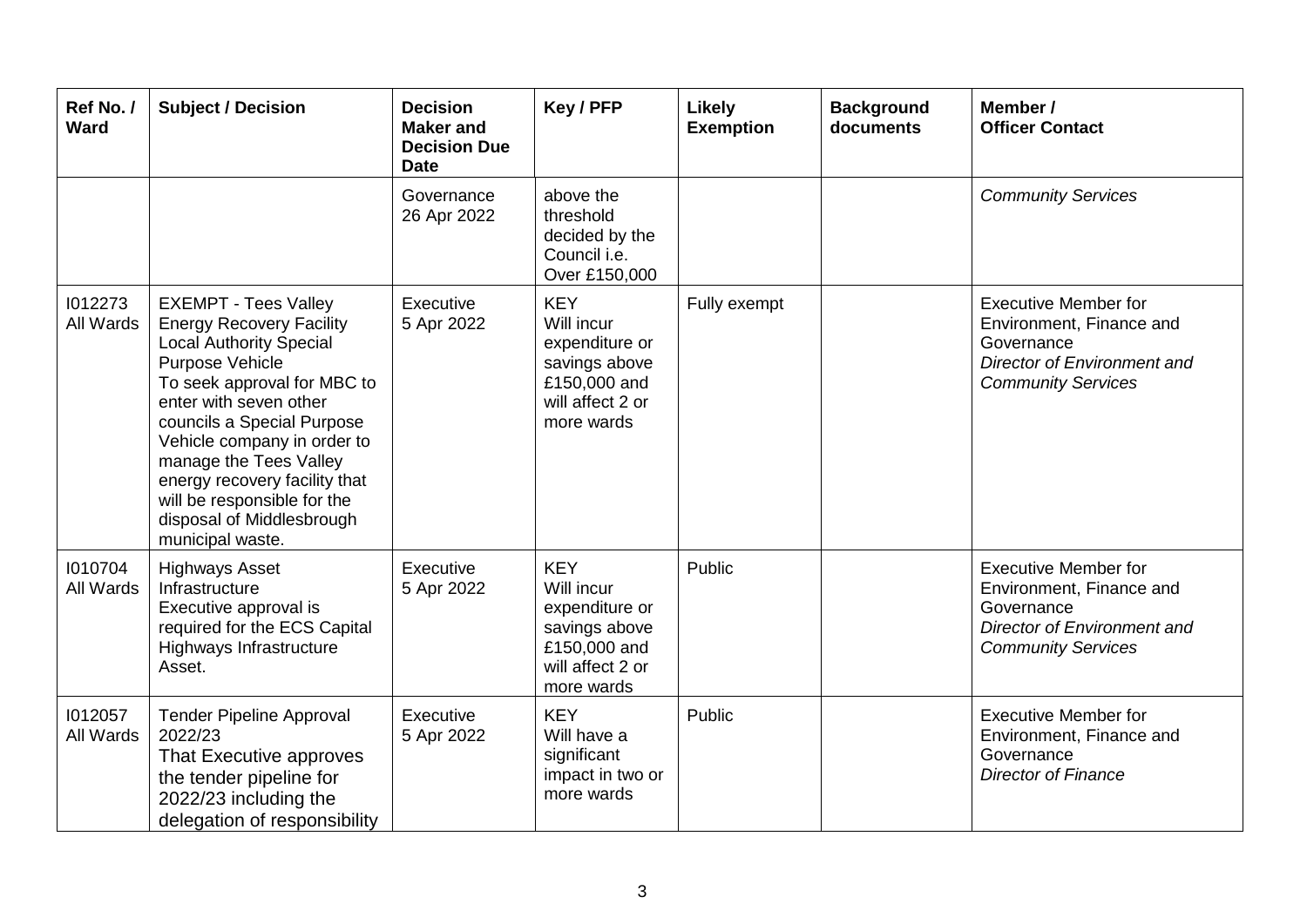| Ref No./<br>Ward     | <b>Subject / Decision</b>                                                                                                                                                                                                                                                                                                                                                            | <b>Decision</b><br><b>Maker</b> and<br><b>Decision Due</b><br><b>Date</b> | Key / PFP                                                                                                     | <b>Likely</b><br><b>Exemption</b> | <b>Background</b><br>documents | Member /<br><b>Officer Contact</b>                                                                                                |
|----------------------|--------------------------------------------------------------------------------------------------------------------------------------------------------------------------------------------------------------------------------------------------------------------------------------------------------------------------------------------------------------------------------------|---------------------------------------------------------------------------|---------------------------------------------------------------------------------------------------------------|-----------------------------------|--------------------------------|-----------------------------------------------------------------------------------------------------------------------------------|
|                      |                                                                                                                                                                                                                                                                                                                                                                                      | Governance<br>26 Apr 2022                                                 | above the<br>threshold<br>decided by the<br>Council i.e.<br>Over £150,000                                     |                                   |                                | <b>Community Services</b>                                                                                                         |
| 1012273<br>All Wards | <b>EXEMPT - Tees Valley</b><br><b>Energy Recovery Facility</b><br><b>Local Authority Special</b><br>Purpose Vehicle<br>To seek approval for MBC to<br>enter with seven other<br>councils a Special Purpose<br>Vehicle company in order to<br>manage the Tees Valley<br>energy recovery facility that<br>will be responsible for the<br>disposal of Middlesbrough<br>municipal waste. | Executive<br>5 Apr 2022                                                   | <b>KEY</b><br>Will incur<br>expenditure or<br>savings above<br>£150,000 and<br>will affect 2 or<br>more wards | Fully exempt                      |                                | <b>Executive Member for</b><br>Environment, Finance and<br>Governance<br>Director of Environment and<br><b>Community Services</b> |
| 1010704<br>All Wards | <b>Highways Asset</b><br>Infrastructure<br>Executive approval is<br>required for the ECS Capital<br>Highways Infrastructure<br>Asset.                                                                                                                                                                                                                                                | Executive<br>5 Apr 2022                                                   | <b>KEY</b><br>Will incur<br>expenditure or<br>savings above<br>£150,000 and<br>will affect 2 or<br>more wards | Public                            |                                | <b>Executive Member for</b><br>Environment, Finance and<br>Governance<br>Director of Environment and<br><b>Community Services</b> |
| 1012057<br>All Wards | <b>Tender Pipeline Approval</b><br>2022/23<br>That Executive approves<br>the tender pipeline for<br>2022/23 including the<br>delegation of responsibility                                                                                                                                                                                                                            | Executive<br>5 Apr 2022                                                   | <b>KEY</b><br>Will have a<br>significant<br>impact in two or<br>more wards                                    | Public                            |                                | <b>Executive Member for</b><br>Environment, Finance and<br>Governance<br><b>Director of Finance</b>                               |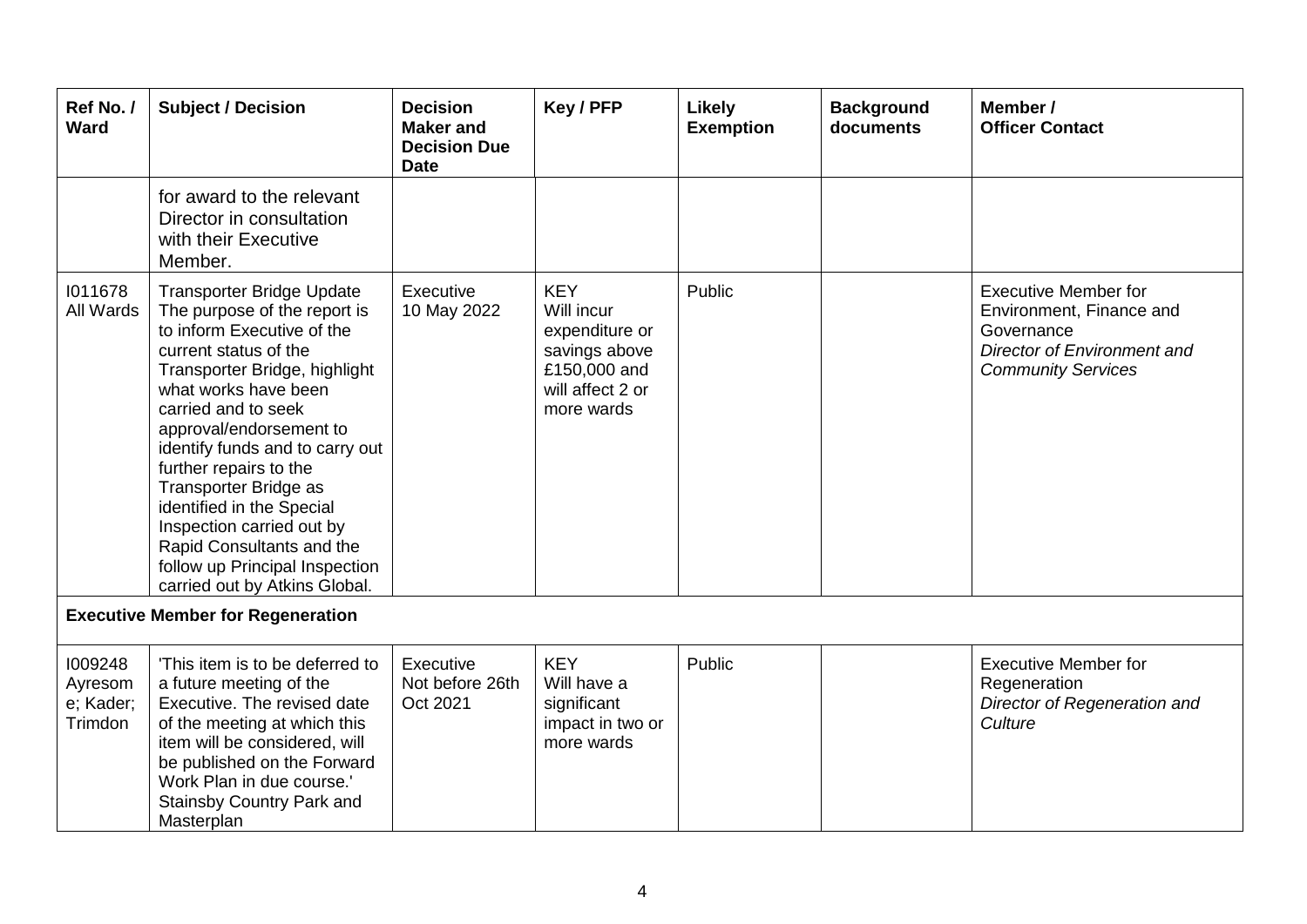| Ref No./<br><b>Ward</b>                    | <b>Subject / Decision</b>                                                                                                                                                                                                                                                                                                                                                                                                                                                          | <b>Decision</b><br><b>Maker and</b><br><b>Decision Due</b><br><b>Date</b> | Key / PFP                                                                                                     | Likely<br><b>Exemption</b> | <b>Background</b><br>documents | Member /<br><b>Officer Contact</b>                                                                                                |  |
|--------------------------------------------|------------------------------------------------------------------------------------------------------------------------------------------------------------------------------------------------------------------------------------------------------------------------------------------------------------------------------------------------------------------------------------------------------------------------------------------------------------------------------------|---------------------------------------------------------------------------|---------------------------------------------------------------------------------------------------------------|----------------------------|--------------------------------|-----------------------------------------------------------------------------------------------------------------------------------|--|
|                                            | for award to the relevant<br>Director in consultation<br>with their Executive<br>Member.                                                                                                                                                                                                                                                                                                                                                                                           |                                                                           |                                                                                                               |                            |                                |                                                                                                                                   |  |
| 1011678<br>All Wards                       | <b>Transporter Bridge Update</b><br>The purpose of the report is<br>to inform Executive of the<br>current status of the<br>Transporter Bridge, highlight<br>what works have been<br>carried and to seek<br>approval/endorsement to<br>identify funds and to carry out<br>further repairs to the<br>Transporter Bridge as<br>identified in the Special<br>Inspection carried out by<br>Rapid Consultants and the<br>follow up Principal Inspection<br>carried out by Atkins Global. | Executive<br>10 May 2022                                                  | <b>KEY</b><br>Will incur<br>expenditure or<br>savings above<br>£150,000 and<br>will affect 2 or<br>more wards | Public                     |                                | <b>Executive Member for</b><br>Environment, Finance and<br>Governance<br>Director of Environment and<br><b>Community Services</b> |  |
| <b>Executive Member for Regeneration</b>   |                                                                                                                                                                                                                                                                                                                                                                                                                                                                                    |                                                                           |                                                                                                               |                            |                                |                                                                                                                                   |  |
| 1009248<br>Ayresom<br>e; Kader;<br>Trimdon | 'This item is to be deferred to<br>a future meeting of the<br>Executive. The revised date<br>of the meeting at which this<br>item will be considered, will<br>be published on the Forward<br>Work Plan in due course.'<br><b>Stainsby Country Park and</b><br>Masterplan                                                                                                                                                                                                           | Executive<br>Not before 26th<br>Oct 2021                                  | <b>KEY</b><br>Will have a<br>significant<br>impact in two or<br>more wards                                    | Public                     |                                | <b>Executive Member for</b><br>Regeneration<br>Director of Regeneration and<br>Culture                                            |  |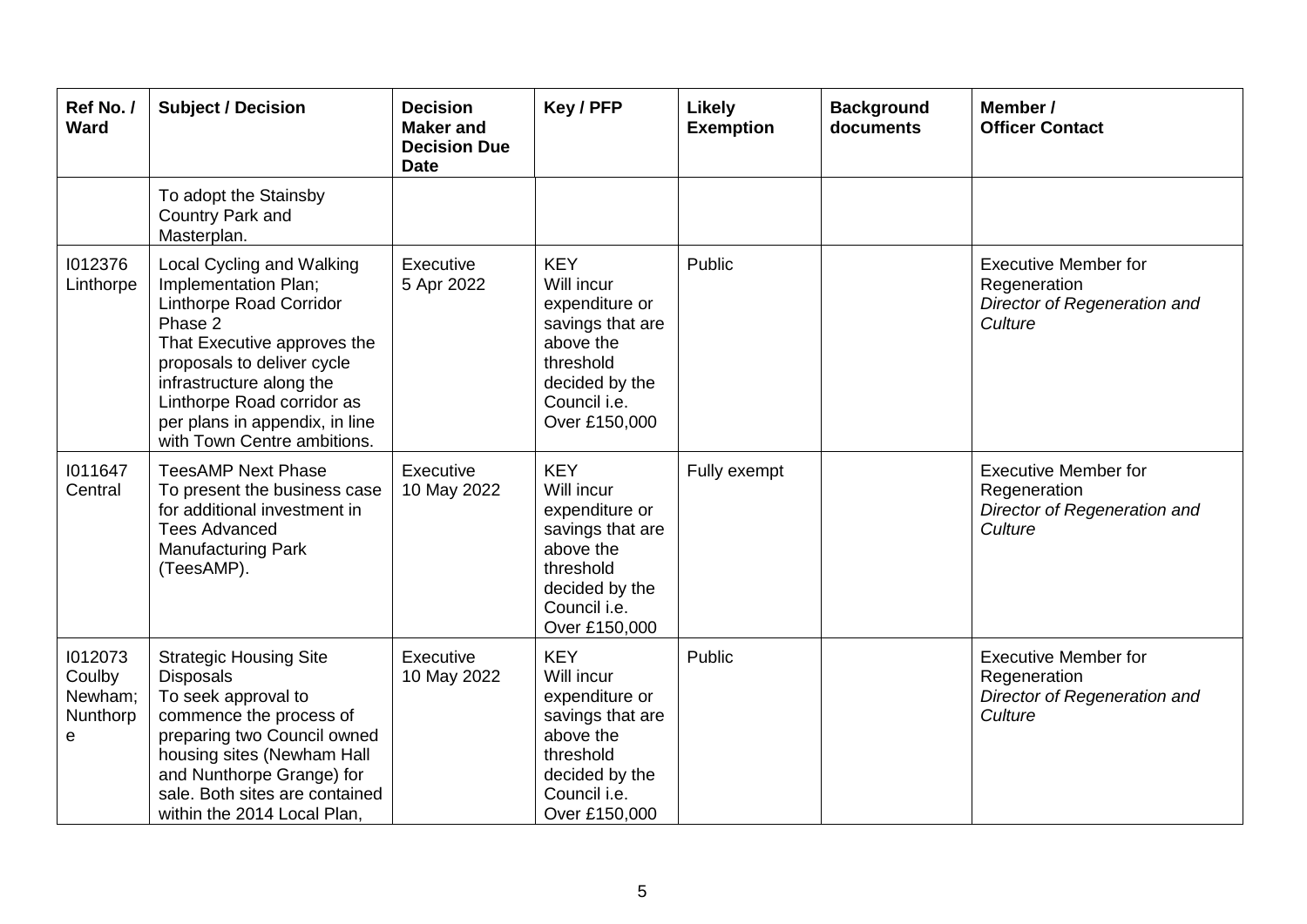| Ref No./<br><b>Ward</b>                       | <b>Subject / Decision</b>                                                                                                                                                                                                                                                       | <b>Decision</b><br><b>Maker</b> and<br><b>Decision Due</b><br><b>Date</b> | Key / PFP                                                                                                                                   | <b>Likely</b><br><b>Exemption</b> | <b>Background</b><br>documents | Member /<br><b>Officer Contact</b>                                                     |
|-----------------------------------------------|---------------------------------------------------------------------------------------------------------------------------------------------------------------------------------------------------------------------------------------------------------------------------------|---------------------------------------------------------------------------|---------------------------------------------------------------------------------------------------------------------------------------------|-----------------------------------|--------------------------------|----------------------------------------------------------------------------------------|
|                                               | To adopt the Stainsby<br>Country Park and<br>Masterplan.                                                                                                                                                                                                                        |                                                                           |                                                                                                                                             |                                   |                                |                                                                                        |
| 1012376<br>Linthorpe                          | Local Cycling and Walking<br>Implementation Plan;<br>Linthorpe Road Corridor<br>Phase 2<br>That Executive approves the<br>proposals to deliver cycle<br>infrastructure along the<br>Linthorpe Road corridor as<br>per plans in appendix, in line<br>with Town Centre ambitions. | Executive<br>5 Apr 2022                                                   | <b>KEY</b><br>Will incur<br>expenditure or<br>savings that are<br>above the<br>threshold<br>decided by the<br>Council i.e.<br>Over £150,000 | Public                            |                                | <b>Executive Member for</b><br>Regeneration<br>Director of Regeneration and<br>Culture |
| 1011647<br>Central                            | <b>TeesAMP Next Phase</b><br>To present the business case<br>for additional investment in<br><b>Tees Advanced</b><br><b>Manufacturing Park</b><br>(TeesAMP).                                                                                                                    | Executive<br>10 May 2022                                                  | <b>KEY</b><br>Will incur<br>expenditure or<br>savings that are<br>above the<br>threshold<br>decided by the<br>Council i.e.<br>Over £150,000 | Fully exempt                      |                                | <b>Executive Member for</b><br>Regeneration<br>Director of Regeneration and<br>Culture |
| 1012073<br>Coulby<br>Newham;<br>Nunthorp<br>e | <b>Strategic Housing Site</b><br><b>Disposals</b><br>To seek approval to<br>commence the process of<br>preparing two Council owned<br>housing sites (Newham Hall<br>and Nunthorpe Grange) for<br>sale. Both sites are contained<br>within the 2014 Local Plan,                  | Executive<br>10 May 2022                                                  | <b>KEY</b><br>Will incur<br>expenditure or<br>savings that are<br>above the<br>threshold<br>decided by the<br>Council i.e.<br>Over £150,000 | Public                            |                                | <b>Executive Member for</b><br>Regeneration<br>Director of Regeneration and<br>Culture |